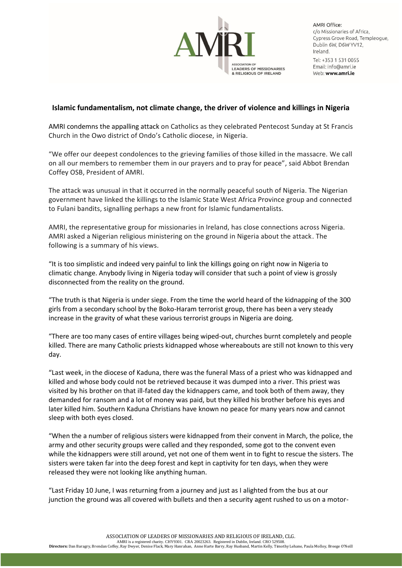

**AMRI Office:** c/o Missionaries of Africa, Cypress Grove Road, Templeoque, Dublin 6W, D6W YV12, Ireland. Tel: +353 1 531 0055 Email: info@amri je Web: www.amri.ie

## **Islamic fundamentalism, not climate change, the driver of violence and killings in Nigeria**

AMRI condemns the appalling attack on Catholics as they celebrated Pentecost Sunday at St Francis Church in the Owo district of Ondo's Catholic diocese, in Nigeria.

"We offer our deepest condolences to the grieving families of those killed in the massacre. We call on all our members to remember them in our prayers and to pray for peace", said Abbot Brendan Coffey OSB, President of AMRI.

The attack was unusual in that it occurred in the normally peaceful south of Nigeria. The Nigerian government have linked the killings to the Islamic State West Africa Province group and connected to Fulani bandits, signalling perhaps a new front for Islamic fundamentalists.

AMRI, the representative group for missionaries in Ireland, has close connections across Nigeria. AMRI asked a Nigerian religious ministering on the ground in Nigeria about the attack. The following is a summary of his views.

"It is too simplistic and indeed very painful to link the killings going on right now in Nigeria to climatic change. Anybody living in Nigeria today will consider that such a point of view is grossly disconnected from the reality on the ground.

"The truth is that Nigeria is under siege. From the time the world heard of the kidnapping of the 300 girls from a secondary school by the Boko-Haram terrorist group, there has been a very steady increase in the gravity of what these various terrorist groups in Nigeria are doing.

"There are too many cases of entire villages being wiped-out, churches burnt completely and people killed. There are many Catholic priests kidnapped whose whereabouts are still not known to this very day.

"Last week, in the diocese of Kaduna, there was the funeral Mass of a priest who was kidnapped and killed and whose body could not be retrieved because it was dumped into a river. This priest was visited by his brother on that ill-fated day the kidnappers came, and took both of them away, they demanded for ransom and a lot of money was paid, but they killed his brother before his eyes and later killed him. Southern Kaduna Christians have known no peace for many years now and cannot sleep with both eyes closed.

"When the a number of religious sisters were kidnapped from their convent in March, the police, the army and other security groups were called and they responded, some got to the convent even while the kidnappers were still around, yet not one of them went in to fight to rescue the sisters. The sisters were taken far into the deep forest and kept in captivity for ten days, when they were released they were not looking like anything human.

"Last Friday 10 June, I was returning from a journey and just as I alighted from the bus at our junction the ground was all covered with bullets and then a security agent rushed to us on a motor-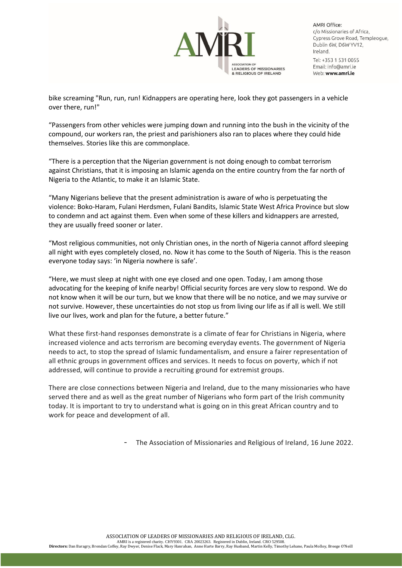

**AMRI Office:** c/o Missionaries of Africa, Cypress Grove Road, Templeoque, Dublin 6W, D6W YV12, Ireland. Tel: +353 1 531 0055 Email: info@amri je Web: www.amri.ie

bike screaming "Run, run, run! Kidnappers are operating here, look they got passengers in a vehicle over there, run!"

"Passengers from other vehicles were jumping down and running into the bush in the vicinity of the compound, our workers ran, the priest and parishioners also ran to places where they could hide themselves. Stories like this are commonplace.

"There is a perception that the Nigerian government is not doing enough to combat terrorism against Christians, that it is imposing an Islamic agenda on the entire country from the far north of Nigeria to the Atlantic, to make it an Islamic State.

"Many Nigerians believe that the present administration is aware of who is perpetuating the violence: Boko-Haram, Fulani Herdsmen, Fulani Bandits, Islamic State West Africa Province but slow to condemn and act against them. Even when some of these killers and kidnappers are arrested, they are usually freed sooner or later.

"Most religious communities, not only Christian ones, in the north of Nigeria cannot afford sleeping all night with eyes completely closed, no. Now it has come to the South of Nigeria. This is the reason everyone today says: 'in Nigeria nowhere is safe'.

"Here, we must sleep at night with one eye closed and one open. Today, I am among those advocating for the keeping of knife nearby! Official security forces are very slow to respond. We do not know when it will be our turn, but we know that there will be no notice, and we may survive or not survive. However, these uncertainties do not stop us from living our life as if all is well. We still live our lives, work and plan for the future, a better future."

What these first-hand responses demonstrate is a climate of fear for Christians in Nigeria, where increased violence and acts terrorism are becoming everyday events. The government of Nigeria needs to act, to stop the spread of Islamic fundamentalism, and ensure a fairer representation of all ethnic groups in government offices and services. It needs to focus on poverty, which if not addressed, will continue to provide a recruiting ground for extremist groups.

There are close connections between Nigeria and Ireland, due to the many missionaries who have served there and as well as the great number of Nigerians who form part of the Irish community today. It is important to try to understand what is going on in this great African country and to work for peace and development of all.

- The Association of Missionaries and Religious of Ireland, 16 June 2022.